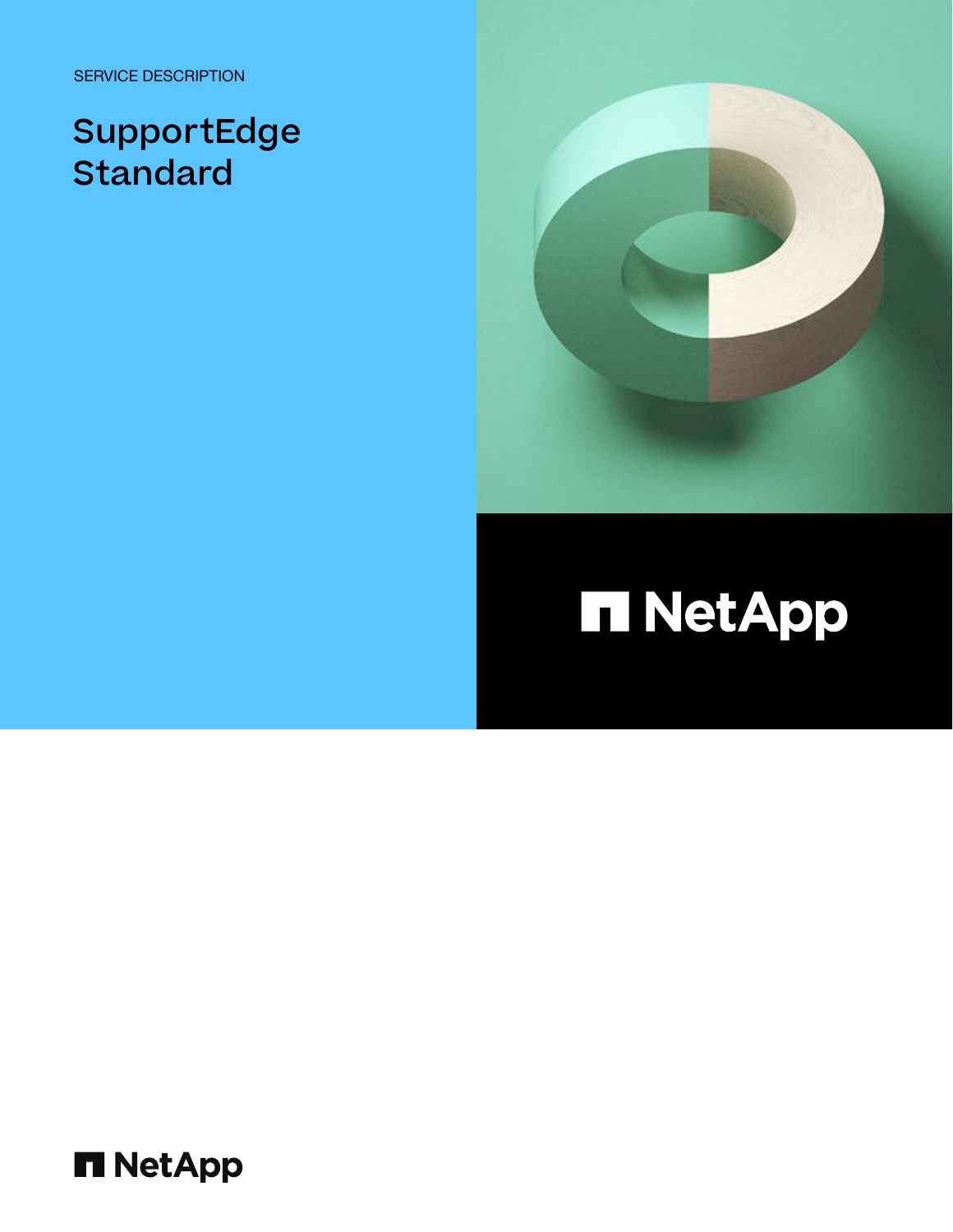SERVICE DESCRIPTION

## SupportEdge **Standard**



## **Π NetApp**

**H** NetApp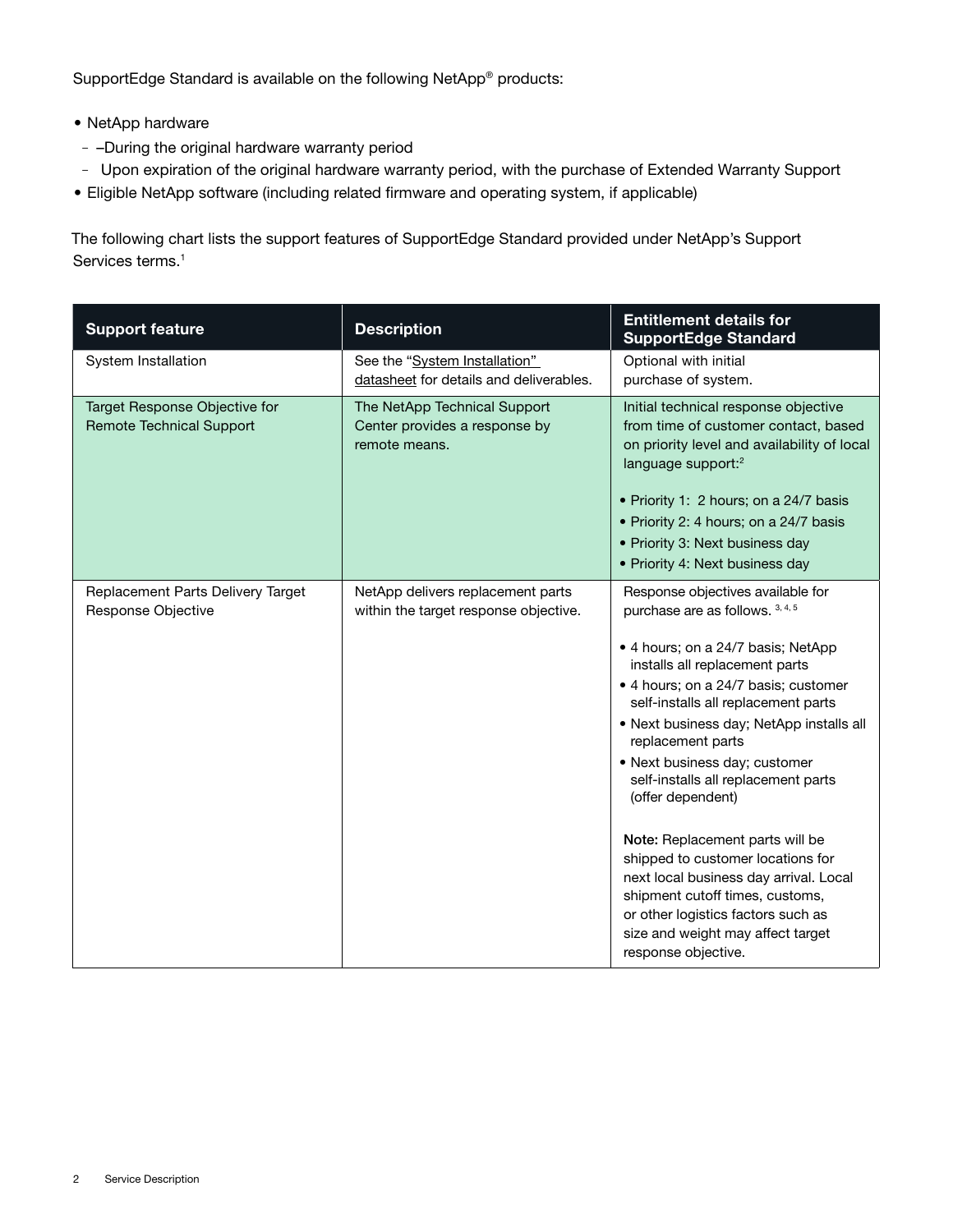SupportEdge Standard is available on the following NetApp® products:

- NetApp hardware
- –During the original hardware warranty period
- Upon expiration of the original hardware warranty period, with the purchase of Extended Warranty Support
- Eligible NetApp software (including related firmware and operating system, if applicable)

The following chart lists the support features of SupportEdge Standard provided under NetApp's Support Services terms.<sup>1</sup>

| <b>Support feature</b>                                           | <b>Description</b>                                                             | <b>Entitlement details for</b><br><b>SupportEdge Standard</b>                                                                                                                                                                                                                                                                                                                                                                                                                                                                                                                                                                                     |
|------------------------------------------------------------------|--------------------------------------------------------------------------------|---------------------------------------------------------------------------------------------------------------------------------------------------------------------------------------------------------------------------------------------------------------------------------------------------------------------------------------------------------------------------------------------------------------------------------------------------------------------------------------------------------------------------------------------------------------------------------------------------------------------------------------------------|
| System Installation                                              | See the "System Installation"<br>datasheet for details and deliverables.       | Optional with initial<br>purchase of system.                                                                                                                                                                                                                                                                                                                                                                                                                                                                                                                                                                                                      |
| Target Response Objective for<br><b>Remote Technical Support</b> | The NetApp Technical Support<br>Center provides a response by<br>remote means. | Initial technical response objective<br>from time of customer contact, based<br>on priority level and availability of local<br>language support: <sup>2</sup><br>• Priority 1: 2 hours; on a 24/7 basis<br>• Priority 2: 4 hours; on a 24/7 basis<br>• Priority 3: Next business day<br>• Priority 4: Next business day                                                                                                                                                                                                                                                                                                                           |
| Replacement Parts Delivery Target<br>Response Objective          | NetApp delivers replacement parts<br>within the target response objective.     | Response objectives available for<br>purchase are as follows. 3, 4, 5<br>• 4 hours; on a 24/7 basis; NetApp<br>installs all replacement parts<br>• 4 hours; on a 24/7 basis; customer<br>self-installs all replacement parts<br>· Next business day; NetApp installs all<br>replacement parts<br>• Next business day; customer<br>self-installs all replacement parts<br>(offer dependent)<br>Note: Replacement parts will be<br>shipped to customer locations for<br>next local business day arrival. Local<br>shipment cutoff times, customs,<br>or other logistics factors such as<br>size and weight may affect target<br>response objective. |